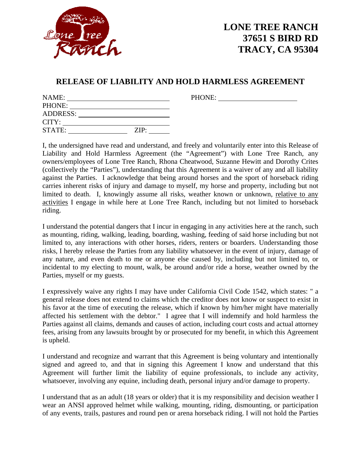

## **LONE TREE RANCH 37651 S BIRD RD TRACY, CA 95304**

PHONE:

## **RELEASE OF LIABILITY AND HOLD HARMLESS AGREEMENT**

| NAME:           |      |
|-----------------|------|
| PHONE:          |      |
| <b>ADDRESS:</b> |      |
| CITY:           |      |
| STATE:          | ZIP: |

I, the undersigned have read and understand, and freely and voluntarily enter into this Release of Liability and Hold Harmless Agreement (the "Agreement") with Lone Tree Ranch, any owners/employees of Lone Tree Ranch, Rhona Cheatwood, Suzanne Hewitt and Dorothy Crites (collectively the "Parties"), understanding that this Agreement is a waiver of any and all liability against the Parties. I acknowledge that being around horses and the sport of horseback riding carries inherent risks of injury and damage to myself, my horse and property, including but not limited to death. I, knowingly assume all risks, weather known or unknown, relative to any activities I engage in while here at Lone Tree Ranch, including but not limited to horseback riding.

I understand the potential dangers that I incur in engaging in any activities here at the ranch, such as mounting, riding, walking, leading, boarding, washing, feeding of said horse including but not limited to, any interactions with other horses, riders, renters or boarders. Understanding those risks, I hereby release the Parties from any liability whatsoever in the event of injury, damage of any nature, and even death to me or anyone else caused by, including but not limited to, or incidental to my electing to mount, walk, be around and/or ride a horse, weather owned by the Parties, myself or my guests.

I expressively waive any rights I may have under California Civil Code 1542, which states: " a general release does not extend to claims which the creditor does not know or suspect to exist in his favor at the time of executing the release, which if known by him/her might have materially affected his settlement with the debtor." I agree that I will indemnify and hold harmless the Parties against all claims, demands and causes of action, including court costs and actual attorney fees, arising from any lawsuits brought by or prosecuted for my benefit, in which this Agreement is upheld.

I understand and recognize and warrant that this Agreement is being voluntary and intentionally signed and agreed to, and that in signing this Agreement I know and understand that this Agreement will further limit the liability of equine professionals, to include any activity, whatsoever, involving any equine, including death, personal injury and/or damage to property.

I understand that as an adult (18 years or older) that it is my responsibility and decision weather I wear an ANSI approved helmet while walking, mounting, riding, dismounting, or participation of any events, trails, pastures and round pen or arena horseback riding. I will not hold the Parties